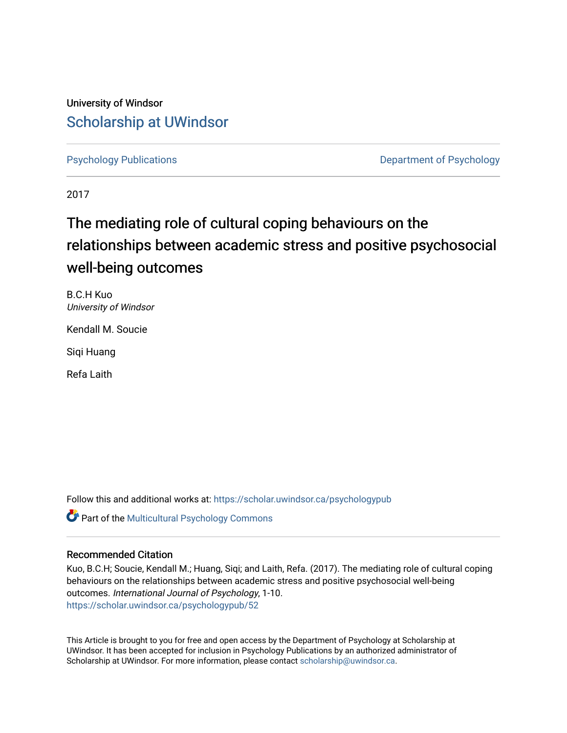University of Windsor [Scholarship at UWindsor](https://scholar.uwindsor.ca/) 

[Psychology Publications](https://scholar.uwindsor.ca/psychologypub) [Department of Psychology](https://scholar.uwindsor.ca/psychology) 

2017

# The mediating role of cultural coping behaviours on the relationships between academic stress and positive psychosocial well-being outcomes

B.C.H Kuo University of Windsor

Kendall M. Soucie

Siqi Huang

Refa Laith

Follow this and additional works at: [https://scholar.uwindsor.ca/psychologypub](https://scholar.uwindsor.ca/psychologypub?utm_source=scholar.uwindsor.ca%2Fpsychologypub%2F52&utm_medium=PDF&utm_campaign=PDFCoverPages) 

Part of the [Multicultural Psychology Commons](http://network.bepress.com/hgg/discipline/1237?utm_source=scholar.uwindsor.ca%2Fpsychologypub%2F52&utm_medium=PDF&utm_campaign=PDFCoverPages) 

# Recommended Citation

Kuo, B.C.H; Soucie, Kendall M.; Huang, Siqi; and Laith, Refa. (2017). The mediating role of cultural coping behaviours on the relationships between academic stress and positive psychosocial well-being outcomes. International Journal of Psychology, 1-10. [https://scholar.uwindsor.ca/psychologypub/52](https://scholar.uwindsor.ca/psychologypub/52?utm_source=scholar.uwindsor.ca%2Fpsychologypub%2F52&utm_medium=PDF&utm_campaign=PDFCoverPages)

This Article is brought to you for free and open access by the Department of Psychology at Scholarship at UWindsor. It has been accepted for inclusion in Psychology Publications by an authorized administrator of Scholarship at UWindsor. For more information, please contact [scholarship@uwindsor.ca.](mailto:scholarship@uwindsor.ca)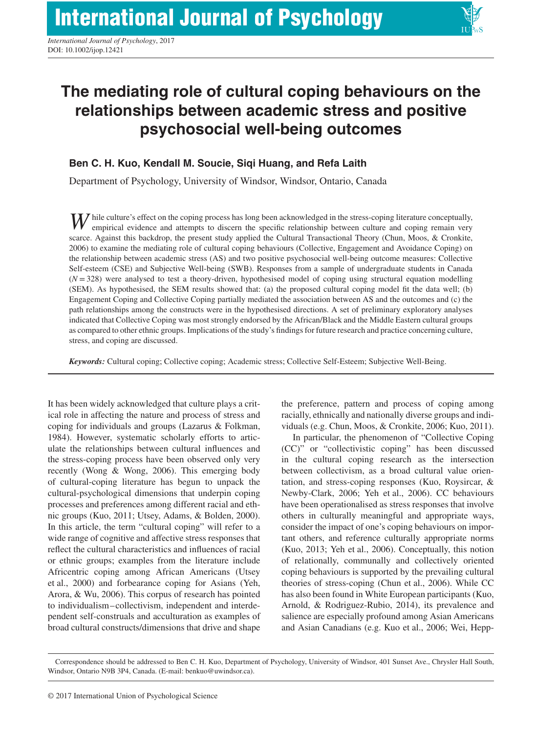

# **The mediating role of cultural coping behaviours on the relationships between academic stress and positive psychosocial well-being outcomes**

# **Ben C. H. Kuo, Kendall M. Soucie, Siqi Huang, and Refa Laith**

Department of Psychology, University of Windsor, Windsor, Ontario, Canada

*W* hile culture's effect on the coping process has long been acknowledged in the stress-coping literature conceptually, empirical evidence and attempts to discern the specific relationship between culture and coping remain very scarce. Against this backdrop, the present study applied the Cultural Transactional Theory (Chun, Moos, & Cronkite, 2006) to examine the mediating role of cultural coping behaviours (Collective, Engagement and Avoidance Coping) on the relationship between academic stress (AS) and two positive psychosocial well-being outcome measures: Collective Self-esteem (CSE) and Subjective Well-being (SWB). Responses from a sample of undergraduate students in Canada  $(N = 328)$  were analysed to test a theory-driven, hypothesised model of coping using structural equation modelling (SEM). As hypothesised, the SEM results showed that: (a) the proposed cultural coping model fit the data well; (b) Engagement Coping and Collective Coping partially mediated the association between AS and the outcomes and (c) the path relationships among the constructs were in the hypothesised directions. A set of preliminary exploratory analyses indicated that Collective Coping was most strongly endorsed by the African/Black and the Middle Eastern cultural groups as compared to other ethnic groups. Implications of the study's findings for future research and practice concerning culture, stress, and coping are discussed.

*Keywords:* Cultural coping; Collective coping; Academic stress; Collective Self-Esteem; Subjective Well-Being.

It has been widely acknowledged that culture plays a critical role in affecting the nature and process of stress and coping for individuals and groups (Lazarus & Folkman, 1984). However, systematic scholarly efforts to articulate the relationships between cultural influences and the stress-coping process have been observed only very recently (Wong & Wong, 2006). This emerging body of cultural-coping literature has begun to unpack the cultural-psychological dimensions that underpin coping processes and preferences among different racial and ethnic groups (Kuo, 2011; Utsey, Adams, & Bolden, 2000). In this article, the term "cultural coping" will refer to a wide range of cognitive and affective stress responses that reflect the cultural characteristics and influences of racial or ethnic groups; examples from the literature include Africentric coping among African Americans (Utsey et al., 2000) and forbearance coping for Asians (Yeh, Arora, & Wu, 2006). This corpus of research has pointed to individualism–collectivism, independent and interdependent self-construals and acculturation as examples of broad cultural constructs/dimensions that drive and shape

the preference, pattern and process of coping among racially, ethnically and nationally diverse groups and individuals (e.g. Chun, Moos, & Cronkite, 2006; Kuo, 2011).

In particular, the phenomenon of "Collective Coping (CC)" or "collectivistic coping" has been discussed in the cultural coping research as the intersection between collectivism, as a broad cultural value orientation, and stress-coping responses (Kuo, Roysircar, & Newby-Clark, 2006; Yeh et al., 2006). CC behaviours have been operationalised as stress responses that involve others in culturally meaningful and appropriate ways, consider the impact of one's coping behaviours on important others, and reference culturally appropriate norms (Kuo, 2013; Yeh et al., 2006). Conceptually, this notion of relationally, communally and collectively oriented coping behaviours is supported by the prevailing cultural theories of stress-coping (Chun et al., 2006). While CC has also been found in White European participants (Kuo, Arnold, & Rodriguez-Rubio, 2014), its prevalence and salience are especially profound among Asian Americans and Asian Canadians (e.g. Kuo et al., 2006; Wei, Hepp-

Correspondence should be addressed to Ben C. H. Kuo, Department of Psychology, University of Windsor, 401 Sunset Ave., Chrysler Hall South, Windsor, Ontario N9B 3P4, Canada. (E-mail: benkuo@uwindsor.ca).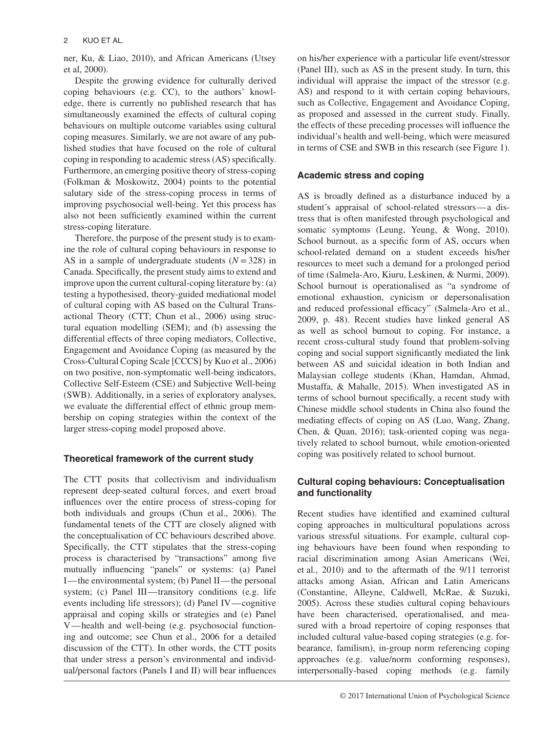ner, Ku, & Liao, 2010), and African Americans (Utsey et al, 2000).

Despite the growing evidence for culturally derived coping behaviours (e.g. CC), to the authors' knowledge, there is currently no published research that has simultaneously examined the effects of cultural coping behaviours on multiple outcome variables using cultural coping measures. Similarly, we are not aware of any published studies that have focused on the role of cultural coping in responding to academic stress (AS) specifically. Furthermore, an emerging positive theory of stress-coping (Folkman & Moskowitz, 2004) points to the potential salutary side of the stress-coping process in terms of improving psychosocial well-being. Yet this process has also not been sufficiently examined within the current stress-coping literature.

Therefore, the purpose of the present study is to examine the role of cultural coping behaviours in response to AS in a sample of undergraduate students  $(N = 328)$  in Canada. Specifically, the present study aims to extend and improve upon the current cultural-coping literature by: (a) testing a hypothesised, theory-guided mediational model of cultural coping with AS based on the Cultural Transactional Theory (CTT; Chun et al., 2006) using structural equation modelling (SEM); and (b) assessing the differential effects of three coping mediators, Collective, Engagement and Avoidance Coping (as measured by the Cross-Cultural Coping Scale [CCCS] by Kuo et al., 2006) on two positive, non-symptomatic well-being indicators, Collective Self-Esteem (CSE) and Subjective Well-being (SWB). Additionally, in a series of exploratory analyses, we evaluate the differential effect of ethnic group membership on coping strategies within the context of the larger stress-coping model proposed above.

# **Theoretical framework of the current study**

The CTT posits that collectivism and individualism represent deep-seated cultural forces, and exert broad influences over the entire process of stress-coping for both individuals and groups (Chun et al., 2006). The fundamental tenets of the CTT are closely aligned with the conceptualisation of CC behaviours described above. Specifically, the CTT stipulates that the stress-coping process is characterised by "transactions" among five mutually influencing "panels" or systems: (a) Panel I—the environmental system; (b) Panel II—the personal system; (c) Panel III—transitory conditions (e.g. life events including life stressors); (d) Panel IV—cognitive appraisal and coping skills or strategies and (e) Panel V—health and well-being (e.g. psychosocial functioning and outcome; see Chun et al., 2006 for a detailed discussion of the CTT). In other words, the CTT posits that under stress a person's environmental and individual/personal factors (Panels I and II) will bear influences on his/her experience with a particular life event/stressor (Panel III), such as AS in the present study. In turn, this individual will appraise the impact of the stressor (e.g. AS) and respond to it with certain coping behaviours, such as Collective, Engagement and Avoidance Coping, as proposed and assessed in the current study. Finally, the effects of these preceding processes will influence the individual's health and well-being, which were measured in terms of CSE and SWB in this research (see Figure 1).

# **Academic stress and coping**

AS is broadly defined as a disturbance induced by a student's appraisal of school-related stressors—a distress that is often manifested through psychological and somatic symptoms (Leung, Yeung, & Wong, 2010). School burnout, as a specific form of AS, occurs when school-related demand on a student exceeds his/her resources to meet such a demand for a prolonged period of time (Salmela-Aro, Kiuru, Leskinen, & Nurmi, 2009). School burnout is operationalised as "a syndrome of emotional exhaustion, cynicism or depersonalisation and reduced professional efficacy" (Salmela-Aro et al., 2009, p. 48). Recent studies have linked general AS as well as school burnout to coping. For instance, a recent cross-cultural study found that problem-solving coping and social support significantly mediated the link between AS and suicidal ideation in both Indian and Malaysian college students (Khan, Hamdan, Ahmad, Mustaffa, & Mahalle, 2015). When investigated AS in terms of school burnout specifically, a recent study with Chinese middle school students in China also found the mediating effects of coping on AS (Luo, Wang, Zhang, Chen, & Quan, 2016); task-oriented coping was negatively related to school burnout, while emotion-oriented coping was positively related to school burnout.

# **Cultural coping behaviours: Conceptualisation and functionality**

Recent studies have identified and examined cultural coping approaches in multicultural populations across various stressful situations. For example, cultural coping behaviours have been found when responding to racial discrimination among Asian Americans (Wei, et al., 2010) and to the aftermath of the 9/11 terrorist attacks among Asian, African and Latin Americans (Constantine, Alleyne, Caldwell, McRae, & Suzuki, 2005). Across these studies cultural coping behaviours have been characterised, operationalised, and measured with a broad repertoire of coping responses that included cultural value-based coping strategies (e.g. forbearance, familism), in-group norm referencing coping approaches (e.g. value/norm conforming responses), interpersonally-based coping methods (e.g. family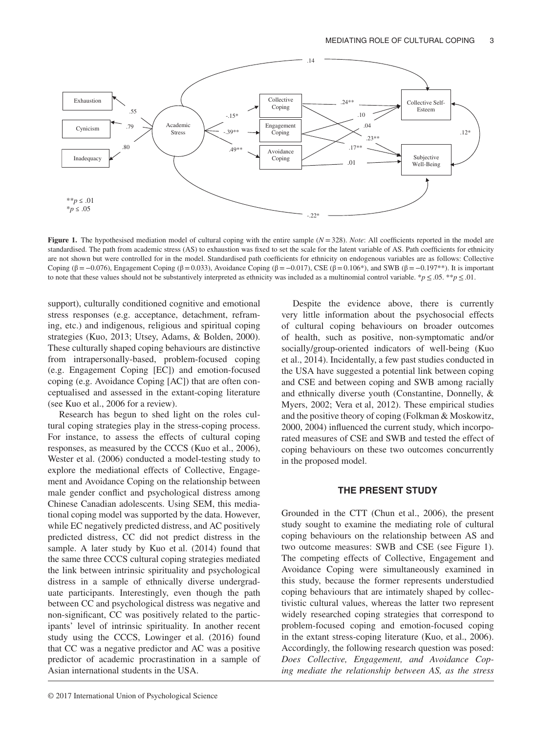

**Figure 1.** The hypothesised mediation model of cultural coping with the entire sample  $(N = 328)$ . *Note*: All coefficients reported in the model are standardised. The path from academic stress (AS) to exhaustion was fixed to set the scale for the latent variable of AS. Path coefficients for ethnicity are not shown but were controlled for in the model. Standardised path coefficients for ethnicity on endogenous variables are as follows: Collective Coping (β = -0.076), Engagement Coping (β = 0.033), Avoidance Coping (β = -0.017), CSE (β = 0.106\*), and SWB (β = -0.197\*\*). It is important to note that these values should not be substantively interpreted as ethnicity was included as a multinomial control variable. \**p* ≤ .05. \*\**p* ≤ .01.

support), culturally conditioned cognitive and emotional stress responses (e.g. acceptance, detachment, reframing, etc.) and indigenous, religious and spiritual coping strategies (Kuo, 2013; Utsey, Adams, & Bolden, 2000). These culturally shaped coping behaviours are distinctive from intrapersonally-based, problem-focused coping (e.g. Engagement Coping [EC]) and emotion-focused coping (e.g. Avoidance Coping [AC]) that are often conceptualised and assessed in the extant-coping literature (see Kuo et al., 2006 for a review).

Research has begun to shed light on the roles cultural coping strategies play in the stress-coping process. For instance, to assess the effects of cultural coping responses, as measured by the CCCS (Kuo et al., 2006), Wester et al. (2006) conducted a model-testing study to explore the mediational effects of Collective, Engagement and Avoidance Coping on the relationship between male gender conflict and psychological distress among Chinese Canadian adolescents. Using SEM, this mediational coping model was supported by the data. However, while EC negatively predicted distress, and AC positively predicted distress, CC did not predict distress in the sample. A later study by Kuo et al. (2014) found that the same three CCCS cultural coping strategies mediated the link between intrinsic spirituality and psychological distress in a sample of ethnically diverse undergraduate participants. Interestingly, even though the path between CC and psychological distress was negative and non-significant, CC was positively related to the participants' level of intrinsic spirituality. In another recent study using the CCCS, Lowinger et al. (2016) found that CC was a negative predictor and AC was a positive predictor of academic procrastination in a sample of Asian international students in the USA.

Despite the evidence above, there is currently very little information about the psychosocial effects of cultural coping behaviours on broader outcomes of health, such as positive, non-symptomatic and/or socially/group-oriented indicators of well-being (Kuo et al., 2014). Incidentally, a few past studies conducted in the USA have suggested a potential link between coping and CSE and between coping and SWB among racially and ethnically diverse youth (Constantine, Donnelly, & Myers, 2002; Vera et al, 2012). These empirical studies and the positive theory of coping (Folkman & Moskowitz, 2000, 2004) influenced the current study, which incorporated measures of CSE and SWB and tested the effect of coping behaviours on these two outcomes concurrently in the proposed model.

#### **THE PRESENT STUDY**

Grounded in the CTT (Chun et al., 2006), the present study sought to examine the mediating role of cultural coping behaviours on the relationship between AS and two outcome measures: SWB and CSE (see Figure 1). The competing effects of Collective, Engagement and Avoidance Coping were simultaneously examined in this study, because the former represents understudied coping behaviours that are intimately shaped by collectivistic cultural values, whereas the latter two represent widely researched coping strategies that correspond to problem-focused coping and emotion-focused coping in the extant stress-coping literature (Kuo, et al., 2006). Accordingly, the following research question was posed: *Does Collective, Engagement, and Avoidance Coping mediate the relationship between AS, as the stress*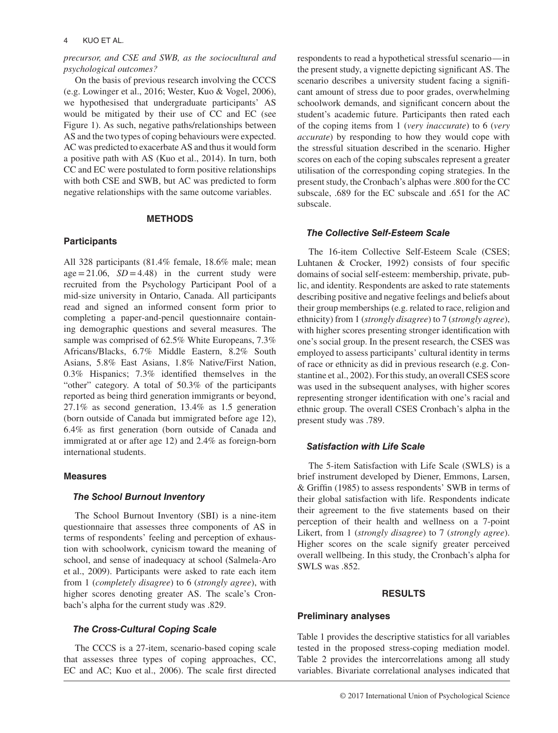### 4 KUO ET AL.

## *precursor, and CSE and SWB, as the sociocultural and psychological outcomes?*

On the basis of previous research involving the CCCS (e.g. Lowinger et al., 2016; Wester, Kuo & Vogel, 2006), we hypothesised that undergraduate participants' AS would be mitigated by their use of CC and EC (see Figure 1). As such, negative paths/relationships between AS and the two types of coping behaviours were expected. AC was predicted to exacerbate AS and thus it would form a positive path with AS (Kuo et al., 2014). In turn, both CC and EC were postulated to form positive relationships with both CSE and SWB, but AC was predicted to form negative relationships with the same outcome variables.

#### **METHODS**

## **Participants**

All 328 participants (81.4% female, 18.6% male; mean  $\text{age} = 21.06$ ,  $SD = 4.48$  in the current study were recruited from the Psychology Participant Pool of a mid-size university in Ontario, Canada. All participants read and signed an informed consent form prior to completing a paper-and-pencil questionnaire containing demographic questions and several measures. The sample was comprised of 62.5% White Europeans, 7.3% Africans/Blacks, 6.7% Middle Eastern, 8.2% South Asians, 5.8% East Asians, 1.8% Native/First Nation, 0.3% Hispanics; 7.3% identified themselves in the "other" category. A total of 50.3% of the participants reported as being third generation immigrants or beyond, 27.1% as second generation, 13.4% as 1.5 generation (born outside of Canada but immigrated before age 12), 6.4% as first generation (born outside of Canada and immigrated at or after age 12) and 2.4% as foreign-born international students.

## **Measures**

#### *The School Burnout Inventory*

The School Burnout Inventory (SBI) is a nine-item questionnaire that assesses three components of AS in terms of respondents' feeling and perception of exhaustion with schoolwork, cynicism toward the meaning of school, and sense of inadequacy at school (Salmela-Aro et al., 2009). Participants were asked to rate each item from 1 (*completely disagree*) to 6 (*strongly agree*), with higher scores denoting greater AS. The scale's Cronbach's alpha for the current study was .829.

## *The Cross-Cultural Coping Scale*

The CCCS is a 27-item, scenario-based coping scale that assesses three types of coping approaches, CC, EC and AC; Kuo et al., 2006). The scale first directed

respondents to read a hypothetical stressful scenario—in the present study, a vignette depicting significant AS. The scenario describes a university student facing a significant amount of stress due to poor grades, overwhelming schoolwork demands, and significant concern about the student's academic future. Participants then rated each of the coping items from 1 (*very inaccurate*) to 6 (*very accurate*) by responding to how they would cope with the stressful situation described in the scenario. Higher scores on each of the coping subscales represent a greater utilisation of the corresponding coping strategies. In the present study, the Cronbach's alphas were .800 for the CC subscale, .689 for the EC subscale and .651 for the AC subscale.

#### *The Collective Self-Esteem Scale*

The 16-item Collective Self-Esteem Scale (CSES; Luhtanen & Crocker, 1992) consists of four specific domains of social self-esteem: membership, private, public, and identity. Respondents are asked to rate statements describing positive and negative feelings and beliefs about their group memberships (e.g. related to race, religion and ethnicity) from 1 (*strongly disagree*) to 7 (*strongly agree*), with higher scores presenting stronger identification with one's social group. In the present research, the CSES was employed to assess participants' cultural identity in terms of race or ethnicity as did in previous research (e.g. Constantine et al., 2002). For this study, an overall CSES score was used in the subsequent analyses, with higher scores representing stronger identification with one's racial and ethnic group. The overall CSES Cronbach's alpha in the present study was .789.

## *Satisfaction with Life Scale*

The 5-item Satisfaction with Life Scale (SWLS) is a brief instrument developed by Diener, Emmons, Larsen, & Griffin (1985) to assess respondents' SWB in terms of their global satisfaction with life. Respondents indicate their agreement to the five statements based on their perception of their health and wellness on a 7-point Likert, from 1 (*strongly disagree*) to 7 (*strongly agree*). Higher scores on the scale signify greater perceived overall wellbeing. In this study, the Cronbach's alpha for SWLS was .852.

## **RESULTS**

## **Preliminary analyses**

Table 1 provides the descriptive statistics for all variables tested in the proposed stress-coping mediation model. Table 2 provides the intercorrelations among all study variables. Bivariate correlational analyses indicated that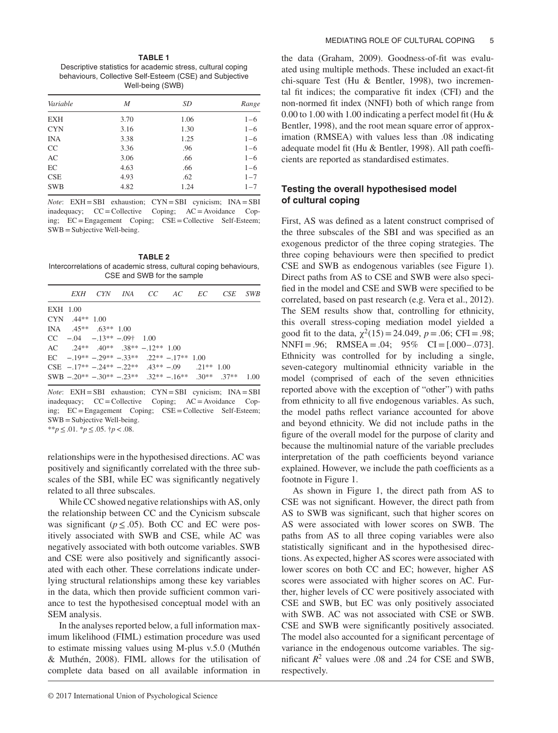**TABLE 1** Descriptive statistics for academic stress, cultural coping behaviours, Collective Self-Esteem (CSE) and Subjective Well-being (SWB)

| Variable   | M    | SD   | Range   |  |
|------------|------|------|---------|--|
| <b>EXH</b> | 3.70 | 1.06 | $1 - 6$ |  |
| <b>CYN</b> | 3.16 | 1.30 | $1 - 6$ |  |
| <b>INA</b> | 3.38 | 1.25 | $1 - 6$ |  |
| CC         | 3.36 | .96  | $1 - 6$ |  |
| AC         | 3.06 | .66  | $1 - 6$ |  |
| EC         | 4.63 | .66  | $1 - 6$ |  |
| <b>CSE</b> | 4.93 | .62  | $1 - 7$ |  |
| <b>SWB</b> | 4.82 | 1.24 | $1 - 7$ |  |
|            |      |      |         |  |

*Note*: EXH = SBI exhaustion; CYN = SBI cynicism; INA = SBI inadequacy; CC=Collective Coping; AC= Avoidance Coping; EC=Engagement Coping; CSE=Collective Self-Esteem; SWB=Subjective Well-being.

**TABLE 2** Intercorrelations of academic stress, cultural coping behaviours, CSE and SWB for the sample

|          |                    |                             |                                                   |  | EXH CYN INA CC AC EC CSE SWB                                                      |  |
|----------|--------------------|-----------------------------|---------------------------------------------------|--|-----------------------------------------------------------------------------------|--|
| EXH 1.00 |                    |                             |                                                   |  |                                                                                   |  |
|          | $CYN$ $.44**$ 1.00 |                             |                                                   |  |                                                                                   |  |
|          |                    | INA $.45**$ $.63**$ 1.00    |                                                   |  |                                                                                   |  |
|          |                    | $CC$ -.04 -.13** -.09† 1.00 |                                                   |  |                                                                                   |  |
|          |                    |                             | AC $.24***$ $.40**$ $.38**$ $-.12**$ 1.00         |  |                                                                                   |  |
|          |                    |                             | $\text{EC}$ - 19** - 29** - 33** 22** - 17** 1.00 |  |                                                                                   |  |
|          |                    |                             | CSE $-17** - 24** - 22** - 43** - 09$ $21** 1.00$ |  |                                                                                   |  |
|          |                    |                             |                                                   |  | SWB $-20^{**} - 30^{**} - 23^{**} - 32^{**} - 16^{**} - 30^{**} - 37^{**} - 1.00$ |  |

*Note*: EXH = SBI exhaustion; CYN = SBI cynicism; INA = SBI inadequacy; CC=Collective Coping; AC= Avoidance Coping; EC=Engagement Coping; CSE=Collective Self-Esteem; SWB=Subjective Well-being. \*\**p*≤.01. \**p*≤.05. †*p<*.08.

relationships were in the hypothesised directions. AC was positively and significantly correlated with the three subscales of the SBI, while EC was significantly negatively related to all three subscales.

While CC showed negative relationships with AS, only the relationship between CC and the Cynicism subscale was significant ( $p \leq 0.05$ ). Both CC and EC were positively associated with SWB and CSE, while AC was negatively associated with both outcome variables. SWB and CSE were also positively and significantly associated with each other. These correlations indicate underlying structural relationships among these key variables in the data, which then provide sufficient common variance to test the hypothesised conceptual model with an SEM analysis.

In the analyses reported below, a full information maximum likelihood (FIML) estimation procedure was used to estimate missing values using M-plus v.5.0 (Muthén & Muthén, 2008). FIML allows for the utilisation of complete data based on all available information in

the data (Graham, 2009). Goodness-of-fit was evaluated using multiple methods. These included an exact-fit chi-square Test (Hu & Bentler, 1998), two incremental fit indices; the comparative fit index (CFI) and the non-normed fit index (NNFI) both of which range from 0.00 to 1.00 with 1.00 indicating a perfect model fit (Hu & Bentler, 1998), and the root mean square error of approximation (RMSEA) with values less than .08 indicating adequate model fit (Hu & Bentler, 1998). All path coefficients are reported as standardised estimates.

# **Testing the overall hypothesised model of cultural coping**

First, AS was defined as a latent construct comprised of the three subscales of the SBI and was specified as an exogenous predictor of the three coping strategies. The three coping behaviours were then specified to predict CSE and SWB as endogenous variables (see Figure 1). Direct paths from AS to CSE and SWB were also specified in the model and CSE and SWB were specified to be correlated, based on past research (e.g. Vera et al., 2012). The SEM results show that, controlling for ethnicity, this overall stress-coping mediation model yielded a good fit to the data,  $\chi^2(15) = 24.049$ ,  $p = .06$ ; CFI = .98;  $NNFI = .96;$   $RMSEA = .04;$   $95%$   $CI = [.000 - .073]$ . Ethnicity was controlled for by including a single, seven-category multinomial ethnicity variable in the model (comprised of each of the seven ethnicities reported above with the exception of "other") with paths from ethnicity to all five endogenous variables. As such, the model paths reflect variance accounted for above and beyond ethnicity. We did not include paths in the figure of the overall model for the purpose of clarity and because the multinomial nature of the variable precludes interpretation of the path coefficients beyond variance explained. However, we include the path coefficients as a footnote in Figure 1.

As shown in Figure 1, the direct path from AS to CSE was not significant. However, the direct path from AS to SWB was significant, such that higher scores on AS were associated with lower scores on SWB. The paths from AS to all three coping variables were also statistically significant and in the hypothesised directions. As expected, higher AS scores were associated with lower scores on both CC and EC; however, higher AS scores were associated with higher scores on AC. Further, higher levels of CC were positively associated with CSE and SWB, but EC was only positively associated with SWB. AC was not associated with CSE or SWB. CSE and SWB were significantly positively associated. The model also accounted for a significant percentage of variance in the endogenous outcome variables. The significant  $R^2$  values were .08 and .24 for CSE and SWB, respectively.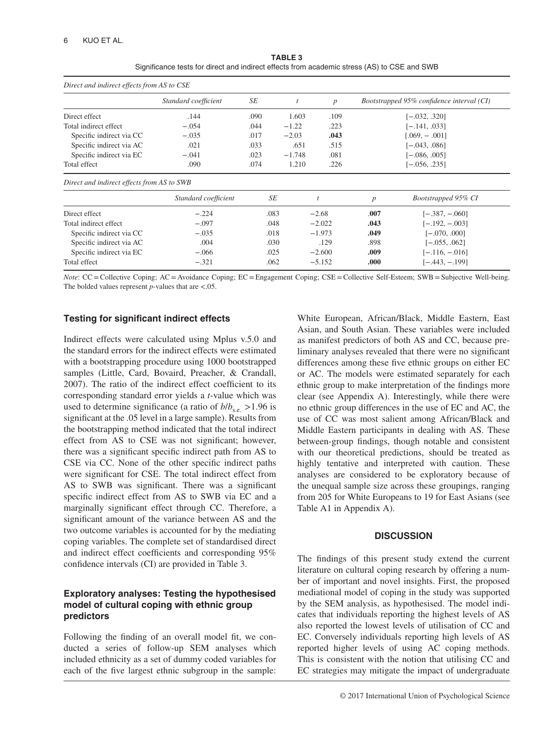| <b>TABLE 3</b>                                                                              |  |  |  |  |  |  |  |  |
|---------------------------------------------------------------------------------------------|--|--|--|--|--|--|--|--|
| Significance tests for direct and indirect effects from academic stress (AS) to CSE and SWB |  |  |  |  |  |  |  |  |

| Direct and indirect effects from AS to CSE |                      |                 |          |                  |                  |                                           |  |  |
|--------------------------------------------|----------------------|-----------------|----------|------------------|------------------|-------------------------------------------|--|--|
|                                            | Standard coefficient | SE              |          | $\boldsymbol{p}$ |                  | Bootstrapped 95% confidence interval (CI) |  |  |
| Direct effect                              | .144                 | .090            | 1.603    | .109             |                  | $[-.032, .320]$                           |  |  |
| Total indirect effect                      | $-.054$              | .044            | $-1.22$  | .223             |                  | [-.141, .033]                             |  |  |
| Specific indirect via CC                   | $-.035$              | .017            | $-2.03$  | .043             |                  | $[.069, -.001]$                           |  |  |
| Specific indirect via AC                   | .021                 | .033            | .651     | .515             |                  | $[-.043, .086]$                           |  |  |
| Specific indirect via EC                   | $-.041$              | .023            | $-1.748$ | .081             |                  | $[-.086, .005]$                           |  |  |
| Total effect                               | .090                 | .074            | 1.210    | .226             | $[-.056, .235]$  |                                           |  |  |
| Direct and indirect effects from AS to SWB |                      |                 |          |                  |                  |                                           |  |  |
|                                            | Standard coefficient |                 | SE       |                  | $\boldsymbol{p}$ | Bootstrapped 95% CI                       |  |  |
| Direct effect                              | $-.224$              | .083<br>$-2.68$ |          | .007             | $[-.387, -.060]$ |                                           |  |  |
| Total indirect effect                      | $-.097$              |                 | .048     | $-2.022$         | .043             | $[-.192, -.003]$                          |  |  |

Specific indirect via CC −*.*035 .018 −1*.*973 **.049** [−.070, .000] Specific indirect via AC **.**004 .030 .0498 .898 [−.055, .062] Specific indirect via EC −*.*066 .025 −2*.*600 **.009** [−.116, −.016] Total effect **−**.321 .062 −5.152 .000 [−.443, −.199]

*Note*: CC = Collective Coping; AC = Avoidance Coping; EC = Engagement Coping; CSE = Collective Self-Esteem; SWB = Subjective Well-being. The bolded values represent *p*-values that are *<*.05.

# **Testing for significant indirect effects**

Indirect effects were calculated using Mplus v.5.0 and the standard errors for the indirect effects were estimated with a bootstrapping procedure using 1000 bootstrapped samples (Little, Card, Bovaird, Preacher, & Crandall, 2007). The ratio of the indirect effect coefficient to its corresponding standard error yields a *t*-value which was used to determine significance (a ratio of  $b/b<sub>s.e.</sub> > 1.96$  is significant at the .05 level in a large sample). Results from the bootstrapping method indicated that the total indirect effect from AS to CSE was not significant; however, there was a significant specific indirect path from AS to CSE via CC. None of the other specific indirect paths were significant for CSE. The total indirect effect from AS to SWB was significant. There was a significant specific indirect effect from AS to SWB via EC and a marginally significant effect through CC. Therefore, a significant amount of the variance between AS and the two outcome variables is accounted for by the mediating coping variables. The complete set of standardised direct and indirect effect coefficients and corresponding 95% confidence intervals (CI) are provided in Table 3.

# **Exploratory analyses: Testing the hypothesised model of cultural coping with ethnic group predictors**

Following the finding of an overall model fit, we conducted a series of follow-up SEM analyses which included ethnicity as a set of dummy coded variables for each of the five largest ethnic subgroup in the sample:

White European, African/Black, Middle Eastern, East Asian, and South Asian. These variables were included as manifest predictors of both AS and CC, because preliminary analyses revealed that there were no significant differences among these five ethnic groups on either EC or AC. The models were estimated separately for each ethnic group to make interpretation of the findings more clear (see Appendix A). Interestingly, while there were no ethnic group differences in the use of EC and AC, the use of CC was most salient among African/Black and Middle Eastern participants in dealing with AS. These between-group findings, though notable and consistent with our theoretical predictions, should be treated as highly tentative and interpreted with caution. These analyses are considered to be exploratory because of the unequal sample size across these groupings, ranging from 205 for White Europeans to 19 for East Asians (see Table A1 in Appendix A).

# **DISCUSSION**

The findings of this present study extend the current literature on cultural coping research by offering a number of important and novel insights. First, the proposed mediational model of coping in the study was supported by the SEM analysis, as hypothesised. The model indicates that individuals reporting the highest levels of AS also reported the lowest levels of utilisation of CC and EC. Conversely individuals reporting high levels of AS reported higher levels of using AC coping methods. This is consistent with the notion that utilising CC and EC strategies may mitigate the impact of undergraduate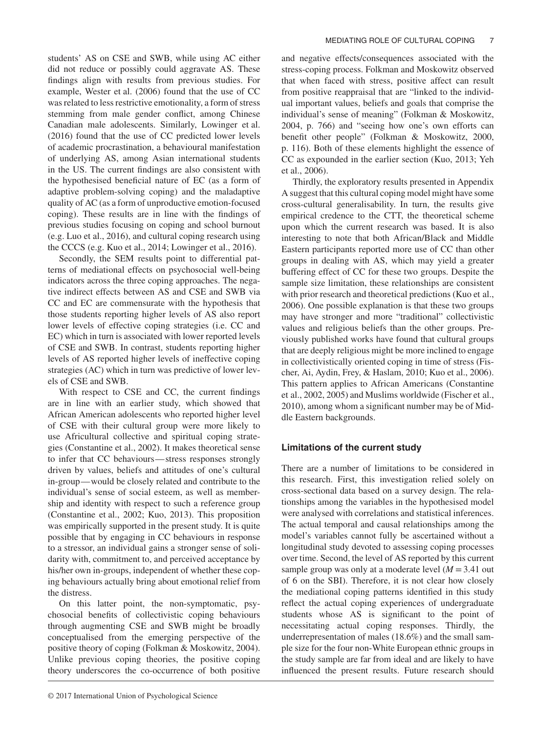students' AS on CSE and SWB, while using AC either did not reduce or possibly could aggravate AS. These findings align with results from previous studies. For example, Wester et al. (2006) found that the use of CC was related to less restrictive emotionality, a form of stress stemming from male gender conflict, among Chinese Canadian male adolescents. Similarly, Lowinger et al. (2016) found that the use of CC predicted lower levels of academic procrastination, a behavioural manifestation of underlying AS, among Asian international students in the US. The current findings are also consistent with the hypothesised beneficial nature of EC (as a form of adaptive problem-solving coping) and the maladaptive quality of AC (as a form of unproductive emotion-focused coping). These results are in line with the findings of previous studies focusing on coping and school burnout (e.g. Luo et al., 2016), and cultural coping research using the CCCS (e.g. Kuo et al., 2014; Lowinger et al., 2016).

Secondly, the SEM results point to differential patterns of mediational effects on psychosocial well-being indicators across the three coping approaches. The negative indirect effects between AS and CSE and SWB via CC and EC are commensurate with the hypothesis that those students reporting higher levels of AS also report lower levels of effective coping strategies (i.e. CC and EC) which in turn is associated with lower reported levels of CSE and SWB. In contrast, students reporting higher levels of AS reported higher levels of ineffective coping strategies (AC) which in turn was predictive of lower levels of CSE and SWB.

With respect to CSE and CC, the current findings are in line with an earlier study, which showed that African American adolescents who reported higher level of CSE with their cultural group were more likely to use Africultural collective and spiritual coping strategies (Constantine et al., 2002). It makes theoretical sense to infer that CC behaviours—stress responses strongly driven by values, beliefs and attitudes of one's cultural in-group—would be closely related and contribute to the individual's sense of social esteem, as well as membership and identity with respect to such a reference group (Constantine et al., 2002; Kuo, 2013). This proposition was empirically supported in the present study. It is quite possible that by engaging in CC behaviours in response to a stressor, an individual gains a stronger sense of solidarity with, commitment to, and perceived acceptance by his/her own in-groups, independent of whether these coping behaviours actually bring about emotional relief from the distress.

On this latter point, the non-symptomatic, psychosocial benefits of collectivistic coping behaviours through augmenting CSE and SWB might be broadly conceptualised from the emerging perspective of the positive theory of coping (Folkman & Moskowitz, 2004). Unlike previous coping theories, the positive coping theory underscores the co-occurrence of both positive

and negative effects/consequences associated with the stress-coping process. Folkman and Moskowitz observed that when faced with stress, positive affect can result from positive reappraisal that are "linked to the individual important values, beliefs and goals that comprise the individual's sense of meaning" (Folkman & Moskowitz, 2004, p. 766) and "seeing how one's own efforts can benefit other people" (Folkman & Moskowitz, 2000, p. 116). Both of these elements highlight the essence of CC as expounded in the earlier section (Kuo, 2013; Yeh et al., 2006).

Thirdly, the exploratory results presented in Appendix A suggest that this cultural coping model might have some cross-cultural generalisability. In turn, the results give empirical credence to the CTT, the theoretical scheme upon which the current research was based. It is also interesting to note that both African/Black and Middle Eastern participants reported more use of CC than other groups in dealing with AS, which may yield a greater buffering effect of CC for these two groups. Despite the sample size limitation, these relationships are consistent with prior research and theoretical predictions (Kuo et al., 2006). One possible explanation is that these two groups may have stronger and more "traditional" collectivistic values and religious beliefs than the other groups. Previously published works have found that cultural groups that are deeply religious might be more inclined to engage in collectivistically oriented coping in time of stress (Fischer, Ai, Aydin, Frey, & Haslam, 2010; Kuo et al., 2006). This pattern applies to African Americans (Constantine et al., 2002, 2005) and Muslims worldwide (Fischer et al., 2010), among whom a significant number may be of Middle Eastern backgrounds.

# **Limitations of the current study**

There are a number of limitations to be considered in this research. First, this investigation relied solely on cross-sectional data based on a survey design. The relationships among the variables in the hypothesised model were analysed with correlations and statistical inferences. The actual temporal and causal relationships among the model's variables cannot fully be ascertained without a longitudinal study devoted to assessing coping processes over time. Second, the level of AS reported by this current sample group was only at a moderate level  $(M = 3.41)$  out of 6 on the SBI). Therefore, it is not clear how closely the mediational coping patterns identified in this study reflect the actual coping experiences of undergraduate students whose AS is significant to the point of necessitating actual coping responses. Thirdly, the underrepresentation of males (18.6%) and the small sample size for the four non-White European ethnic groups in the study sample are far from ideal and are likely to have influenced the present results. Future research should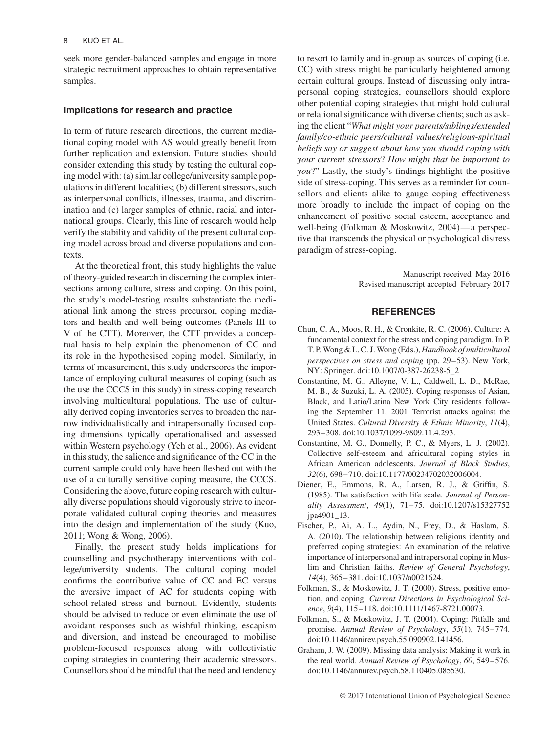seek more gender-balanced samples and engage in more strategic recruitment approaches to obtain representative samples.

## **Implications for research and practice**

In term of future research directions, the current mediational coping model with AS would greatly benefit from further replication and extension. Future studies should consider extending this study by testing the cultural coping model with: (a) similar college/university sample populations in different localities; (b) different stressors, such as interpersonal conflicts, illnesses, trauma, and discrimination and (c) larger samples of ethnic, racial and international groups. Clearly, this line of research would help verify the stability and validity of the present cultural coping model across broad and diverse populations and contexts.

At the theoretical front, this study highlights the value of theory-guided research in discerning the complex intersections among culture, stress and coping. On this point, the study's model-testing results substantiate the mediational link among the stress precursor, coping mediators and health and well-being outcomes (Panels III to V of the CTT). Moreover, the CTT provides a conceptual basis to help explain the phenomenon of CC and its role in the hypothesised coping model. Similarly, in terms of measurement, this study underscores the importance of employing cultural measures of coping (such as the use the CCCS in this study) in stress-coping research involving multicultural populations. The use of culturally derived coping inventories serves to broaden the narrow individualistically and intrapersonally focused coping dimensions typically operationalised and assessed within Western psychology (Yeh et al., 2006). As evident in this study, the salience and significance of the CC in the current sample could only have been fleshed out with the use of a culturally sensitive coping measure, the CCCS. Considering the above, future coping research with culturally diverse populations should vigorously strive to incorporate validated cultural coping theories and measures into the design and implementation of the study (Kuo, 2011; Wong & Wong, 2006).

Finally, the present study holds implications for counselling and psychotherapy interventions with college/university students. The cultural coping model confirms the contributive value of CC and EC versus the aversive impact of AC for students coping with school-related stress and burnout. Evidently, students should be advised to reduce or even eliminate the use of avoidant responses such as wishful thinking, escapism and diversion, and instead be encouraged to mobilise problem-focused responses along with collectivistic coping strategies in countering their academic stressors. Counsellors should be mindful that the need and tendency

to resort to family and in-group as sources of coping (i.e. CC) with stress might be particularly heightened among certain cultural groups. Instead of discussing only intrapersonal coping strategies, counsellors should explore other potential coping strategies that might hold cultural or relational significance with diverse clients; such as asking the client "*What might your parents/siblings/extended family/co-ethnic peers/cultural values/religious-spiritual beliefs say or suggest about how you should coping with your current stressors*? *How might that be important to you*?" Lastly, the study's findings highlight the positive side of stress-coping. This serves as a reminder for counsellors and clients alike to gauge coping effectiveness more broadly to include the impact of coping on the enhancement of positive social esteem, acceptance and well-being (Folkman & Moskowitz, 2004)—a perspective that transcends the physical or psychological distress paradigm of stress-coping.

> Manuscript received May 2016 Revised manuscript accepted February 2017

## **REFERENCES**

- Chun, C. A., Moos, R. H., & Cronkite, R. C. (2006). Culture: A fundamental context for the stress and coping paradigm. In P. T. P. Wong & L. C. J. Wong (Eds.), *Handbook of multicultural perspectives on stress and coping* (pp. 29–53). New York, NY: Springer. doi:10.1007/0-387-26238-5\_2
- Constantine, M. G., Alleyne, V. L., Caldwell, L. D., McRae, M. B., & Suzuki, L. A. (2005). Coping responses of Asian, Black, and Latio/Latina New York City residents following the September 11, 2001 Terrorist attacks against the United States. *Cultural Diversity & Ethnic Minority*, *11*(4), 293–308. doi:10.1037/1099-9809.11.4.293.
- Constantine, M. G., Donnelly, P. C., & Myers, L. J. (2002). Collective self-esteem and africultural coping styles in African American adolescents. *Journal of Black Studies*, *32*(6), 698–710. doi:10.1177/00234702032006004.
- Diener, E., Emmons, R. A., Larsen, R. J., & Griffin, S. (1985). The satisfaction with life scale. *Journal of Personality Assessment*, *49*(1), 71–75. doi:10.1207/s15327752 jpa4901\_13.
- Fischer, P., Ai, A. L., Aydin, N., Frey, D., & Haslam, S. A. (2010). The relationship between religious identity and preferred coping strategies: An examination of the relative importance of interpersonal and intrapersonal coping in Muslim and Christian faiths. *Review of General Psychology*, *14*(4), 365–381. doi:10.1037/a0021624.
- Folkman, S., & Moskowitz, J. T. (2000). Stress, positive emotion, and coping. *Current Directions in Psychological Science*, *9*(4), 115–118. doi:10.1111/1467-8721.00073.
- Folkman, S., & Moskowitz, J. T. (2004). Coping: Pitfalls and promise. *Annual Review of Psychology*, *55*(1), 745–774. doi:10.1146/annirev.psych.55.090902.141456.
- Graham, J. W. (2009). Missing data analysis: Making it work in the real world. *Annual Review of Psychology*, *60*, 549–576. doi:10.1146/annurev.psych.58.110405.085530.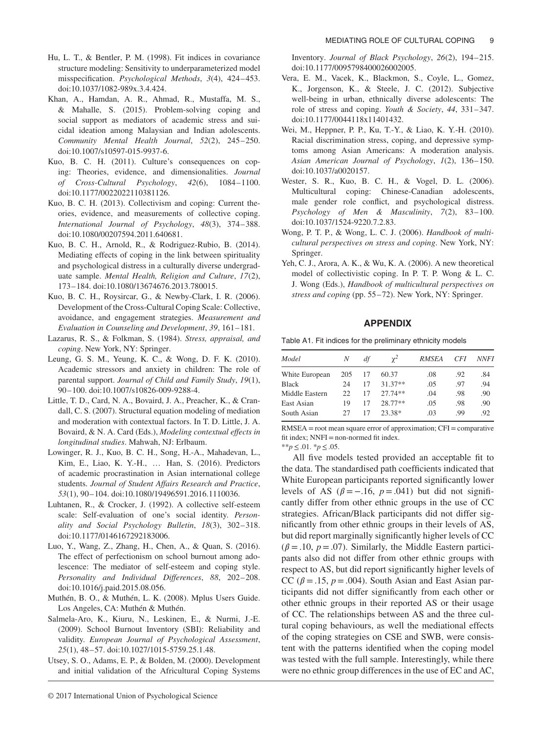- Hu, L. T., & Bentler, P. M. (1998). Fit indices in covariance structure modeling: Sensitivity to underparameterized model misspecification. *Psychological Methods*, *3*(4), 424–453. doi:10.1037/1082-989x.3.4.424.
- Khan, A., Hamdan, A. R., Ahmad, R., Mustaffa, M. S., & Mahalle, S. (2015). Problem-solving coping and social support as mediators of academic stress and suicidal ideation among Malaysian and Indian adolescents. *Community Mental Health Journal*, *52*(2), 245–250. doi:10.1007/s10597-015-9937-6.
- Kuo, B. C. H. (2011). Culture's consequences on coping: Theories, evidence, and dimensionalities. *Journal of Cross-Cultural Psychology*, *42*(6), 1084–1100. doi:10.1177/0022022110381126.
- Kuo, B. C. H. (2013). Collectivism and coping: Current theories, evidence, and measurements of collective coping. *International Journal of Psychology*, *48*(3), 374–388. doi:10.1080/00207594.2011.640681.
- Kuo, B. C. H., Arnold, R., & Rodriguez-Rubio, B. (2014). Mediating effects of coping in the link between spirituality and psychological distress in a culturally diverse undergraduate sample. *Mental Health, Religion and Culture*, *17*(2), 173–184. doi:10.1080/13674676.2013.780015.
- Kuo, B. C. H., Roysircar, G., & Newby-Clark, I. R. (2006). Development of the Cross-Cultural Coping Scale: Collective, avoidance, and engagement strategies. *Measurement and Evaluation in Counseling and Development*, *39*, 161–181.
- Lazarus, R. S., & Folkman, S. (1984). *Stress, appraisal, and coping*. New York, NY: Springer.
- Leung, G. S. M., Yeung, K. C., & Wong, D. F. K. (2010). Academic stressors and anxiety in children: The role of parental support. *Journal of Child and Family Study*, *19*(1), 90–100. doi:10.1007/s10826-009-9288-4.
- Little, T. D., Card, N. A., Bovaird, J. A., Preacher, K., & Crandall, C. S. (2007). Structural equation modeling of mediation and moderation with contextual factors. In T. D. Little, J. A. Bovaird, & N. A. Card (Eds.), *Modeling contextual effects in longitudinal studies*. Mahwah, NJ: Erlbaum.
- Lowinger, R. J., Kuo, B. C. H., Song, H.-A., Mahadevan, L., Kim, E., Liao, K. Y.-H., … Han, S. (2016). Predictors of academic procrastination in Asian international college students. *Journal of Student Affairs Research and Practice*, *53*(1), 90–104. doi:10.1080/19496591.2016.1110036.
- Luhtanen, R., & Crocker, J. (1992). A collective self-esteem scale: Self-evaluation of one's social identity. *Personality and Social Psychology Bulletin*, *18*(3), 302–318. doi:10.1177/0146167292183006.
- Luo, Y., Wang, Z., Zhang, H., Chen, A., & Quan, S. (2016). The effect of perfectionism on school burnout among adolescence: The mediator of self-esteem and coping style. *Personality and Individual Differences*, *88*, 202–208. doi:10.1016/j.paid.2015.08.056.
- Muthén, B. O., & Muthén, L. K. (2008). Mplus Users Guide. Los Angeles, CA: Muthén & Muthén.
- Salmela-Aro, K., Kiuru, N., Leskinen, E., & Nurmi, J.-E. (2009). School Burnout Inventory (SBI): Reliability and validity. *European Journal of Psychological Assessment*, *25*(1), 48–57. doi:10.1027/1015-5759.25.1.48.
- Utsey, S. O., Adams, E. P., & Bolden, M. (2000). Development and initial validation of the Africultural Coping Systems

Inventory. *Journal of Black Psychology*, *26*(2), 194–215. doi:10.1177/0095798400026002005.

- Vera, E. M., Vacek, K., Blackmon, S., Coyle, L., Gomez, K., Jorgenson, K., & Steele, J. C. (2012). Subjective well-being in urban, ethnically diverse adolescents: The role of stress and coping. *Youth & Society*, *44*, 331–347. doi:10.1177/0044118x11401432.
- Wei, M., Heppner, P. P., Ku, T.-Y., & Liao, K. Y.-H. (2010). Racial discrimination stress, coping, and depressive symptoms among Asian Americans: A moderation analysis. *Asian American Journal of Psychology*, *1*(2), 136–150. doi:10.1037/a0020157.
- Wester, S. R., Kuo, B. C. H., & Vogel, D. L. (2006). Multicultural coping: Chinese-Canadian adolescents, male gender role conflict, and psychological distress. *Psychology of Men & Masculinity*, *7*(2), 83–100. doi:10.1037/1524-9220.7.2.83.
- Wong, P. T. P., & Wong, L. C. J. (2006). *Handbook of multicultural perspectives on stress and coping*. New York, NY: Springer.
- Yeh, C. J., Arora, A. K., & Wu, K. A. (2006). A new theoretical model of collectivistic coping. In P. T. P. Wong & L. C. J. Wong (Eds.), *Handbook of multicultural perspectives on stress and coping* (pp. 55–72). New York, NY: Springer.

#### **APPENDIX**

Table A1. Fit indices for the preliminary ethnicity models

| Model          | N   | df | $\gamma^2$ | <b>RMSEA</b> | <i>CFI</i> | <i>NNFI</i> |
|----------------|-----|----|------------|--------------|------------|-------------|
| White European | 205 | 17 | 60.37      | .08          | .92        | .84         |
| <b>Black</b>   | 24  | 17 | $31.37**$  | .05          | -97        | .94         |
| Middle Eastern | 22  | 17 | $27.74**$  | .04          | .98        | .90         |
| East Asian     | 19  | 17 | 28.77**    | .05          | .98        | .90         |
| South Asian    | 27  | 17 | 23.38*     | .03          | -99        | .92         |

 $RMSEA = root$  mean square error of approximation;  $CFI = \text{comparative}$ fit index; NNFI=non-normed fit index.

\*\**p*≤.01. \**p*≤.05.

All five models tested provided an acceptable fit to the data. The standardised path coefficients indicated that White European participants reported significantly lower levels of AS ( $\beta = -.16$ ,  $p = .041$ ) but did not significantly differ from other ethnic groups in the use of CC strategies. African/Black participants did not differ significantly from other ethnic groups in their levels of AS, but did report marginally significantly higher levels of CC  $(\beta = .10, p = .07)$ . Similarly, the Middle Eastern participants also did not differ from other ethnic groups with respect to AS, but did report significantly higher levels of CC ( $\beta$  = .15,  $p$  = .004). South Asian and East Asian participants did not differ significantly from each other or other ethnic groups in their reported AS or their usage of CC. The relationships between AS and the three cultural coping behaviours, as well the mediational effects of the coping strategies on CSE and SWB, were consistent with the patterns identified when the coping model was tested with the full sample. Interestingly, while there were no ethnic group differences in the use of EC and AC,